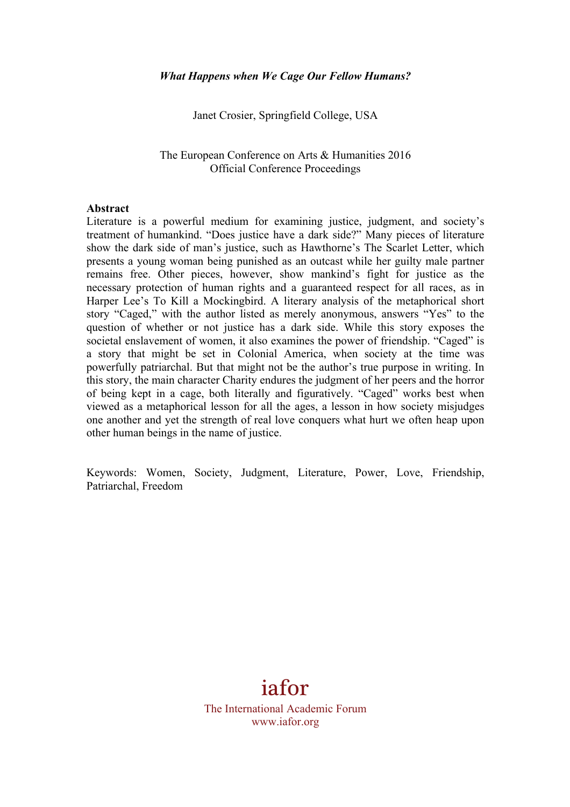Janet Crosier, Springfield College, USA

#### The European Conference on Arts & Humanities 2016 Official Conference Proceedings

#### **Abstract**

Literature is a powerful medium for examining justice, judgment, and society's treatment of humankind. "Does justice have a dark side?" Many pieces of literature show the dark side of man's justice, such as Hawthorne's The Scarlet Letter, which presents a young woman being punished as an outcast while her guilty male partner remains free. Other pieces, however, show mankind's fight for justice as the necessary protection of human rights and a guaranteed respect for all races, as in Harper Lee's To Kill a Mockingbird. A literary analysis of the metaphorical short story "Caged," with the author listed as merely anonymous, answers "Yes" to the question of whether or not justice has a dark side. While this story exposes the societal enslavement of women, it also examines the power of friendship. "Caged" is a story that might be set in Colonial America, when society at the time was powerfully patriarchal. But that might not be the author's true purpose in writing. In this story, the main character Charity endures the judgment of her peers and the horror of being kept in a cage, both literally and figuratively. "Caged" works best when viewed as a metaphorical lesson for all the ages, a lesson in how society misjudges one another and yet the strength of real love conquers what hurt we often heap upon other human beings in the name of justice.

Keywords: Women, Society, Judgment, Literature, Power, Love, Friendship, Patriarchal, Freedom

# iafor

The International Academic Forum www.iafor.org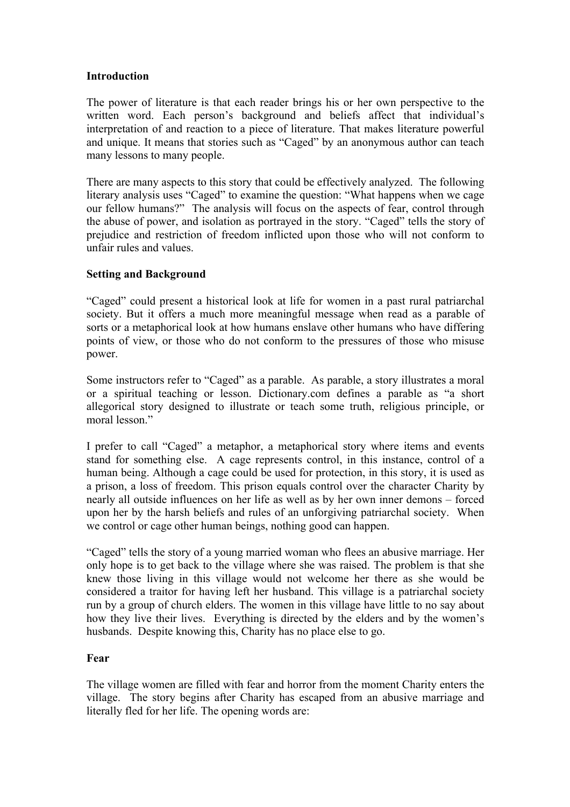# **Introduction**

The power of literature is that each reader brings his or her own perspective to the written word. Each person's background and beliefs affect that individual's interpretation of and reaction to a piece of literature. That makes literature powerful and unique. It means that stories such as "Caged" by an anonymous author can teach many lessons to many people.

There are many aspects to this story that could be effectively analyzed. The following literary analysis uses "Caged" to examine the question: "What happens when we cage our fellow humans?" The analysis will focus on the aspects of fear, control through the abuse of power, and isolation as portrayed in the story. "Caged" tells the story of prejudice and restriction of freedom inflicted upon those who will not conform to unfair rules and values.

# **Setting and Background**

"Caged" could present a historical look at life for women in a past rural patriarchal society. But it offers a much more meaningful message when read as a parable of sorts or a metaphorical look at how humans enslave other humans who have differing points of view, or those who do not conform to the pressures of those who misuse power.

Some instructors refer to "Caged" as a parable. As parable, a story illustrates a moral or a spiritual teaching or lesson. Dictionary.com defines a parable as "a short allegorical story designed to illustrate or teach some truth, religious principle, or moral lesson"

I prefer to call "Caged" a metaphor, a metaphorical story where items and events stand for something else. A cage represents control, in this instance, control of a human being. Although a cage could be used for protection, in this story, it is used as a prison, a loss of freedom. This prison equals control over the character Charity by nearly all outside influences on her life as well as by her own inner demons – forced upon her by the harsh beliefs and rules of an unforgiving patriarchal society. When we control or cage other human beings, nothing good can happen.

"Caged" tells the story of a young married woman who flees an abusive marriage. Her only hope is to get back to the village where she was raised. The problem is that she knew those living in this village would not welcome her there as she would be considered a traitor for having left her husband. This village is a patriarchal society run by a group of church elders. The women in this village have little to no say about how they live their lives. Everything is directed by the elders and by the women's husbands. Despite knowing this, Charity has no place else to go.

# **Fear**

The village women are filled with fear and horror from the moment Charity enters the village. The story begins after Charity has escaped from an abusive marriage and literally fled for her life. The opening words are: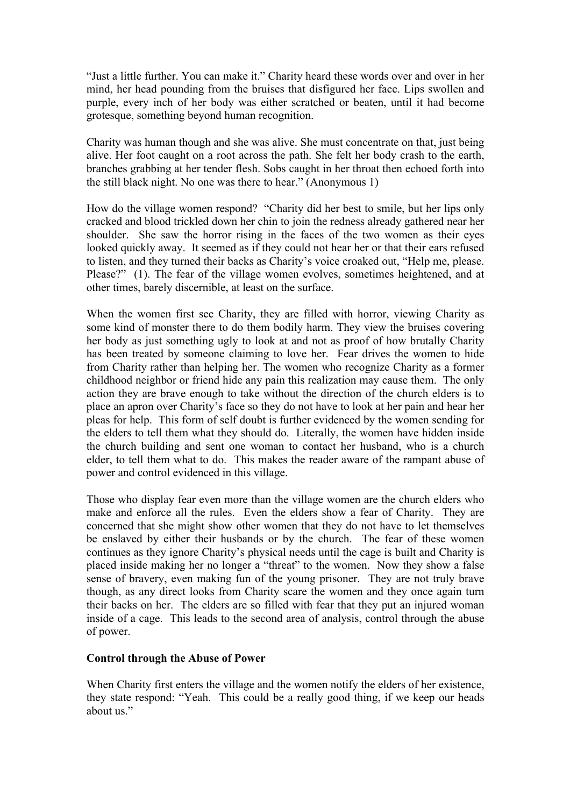"Just a little further. You can make it." Charity heard these words over and over in her mind, her head pounding from the bruises that disfigured her face. Lips swollen and purple, every inch of her body was either scratched or beaten, until it had become grotesque, something beyond human recognition.

Charity was human though and she was alive. She must concentrate on that, just being alive. Her foot caught on a root across the path. She felt her body crash to the earth, branches grabbing at her tender flesh. Sobs caught in her throat then echoed forth into the still black night. No one was there to hear." (Anonymous 1)

How do the village women respond? "Charity did her best to smile, but her lips only cracked and blood trickled down her chin to join the redness already gathered near her shoulder. She saw the horror rising in the faces of the two women as their eyes looked quickly away. It seemed as if they could not hear her or that their ears refused to listen, and they turned their backs as Charity's voice croaked out, "Help me, please. Please?" (1). The fear of the village women evolves, sometimes heightened, and at other times, barely discernible, at least on the surface.

When the women first see Charity, they are filled with horror, viewing Charity as some kind of monster there to do them bodily harm. They view the bruises covering her body as just something ugly to look at and not as proof of how brutally Charity has been treated by someone claiming to love her. Fear drives the women to hide from Charity rather than helping her. The women who recognize Charity as a former childhood neighbor or friend hide any pain this realization may cause them. The only action they are brave enough to take without the direction of the church elders is to place an apron over Charity's face so they do not have to look at her pain and hear her pleas for help. This form of self doubt is further evidenced by the women sending for the elders to tell them what they should do. Literally, the women have hidden inside the church building and sent one woman to contact her husband, who is a church elder, to tell them what to do. This makes the reader aware of the rampant abuse of power and control evidenced in this village.

Those who display fear even more than the village women are the church elders who make and enforce all the rules. Even the elders show a fear of Charity. They are concerned that she might show other women that they do not have to let themselves be enslaved by either their husbands or by the church. The fear of these women continues as they ignore Charity's physical needs until the cage is built and Charity is placed inside making her no longer a "threat" to the women. Now they show a false sense of bravery, even making fun of the young prisoner. They are not truly brave though, as any direct looks from Charity scare the women and they once again turn their backs on her. The elders are so filled with fear that they put an injured woman inside of a cage. This leads to the second area of analysis, control through the abuse of power.

#### **Control through the Abuse of Power**

When Charity first enters the village and the women notify the elders of her existence, they state respond: "Yeah. This could be a really good thing, if we keep our heads about us"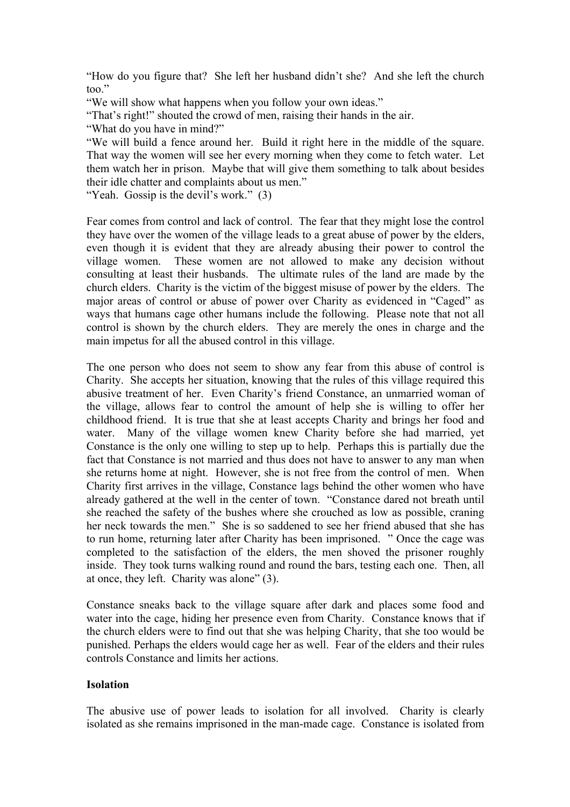"How do you figure that? She left her husband didn't she? And she left the church too."

"We will show what happens when you follow your own ideas."

"That's right!" shouted the crowd of men, raising their hands in the air.

"What do you have in mind?"

"We will build a fence around her. Build it right here in the middle of the square. That way the women will see her every morning when they come to fetch water. Let them watch her in prison. Maybe that will give them something to talk about besides their idle chatter and complaints about us men."

"Yeah. Gossip is the devil's work." (3)

Fear comes from control and lack of control. The fear that they might lose the control they have over the women of the village leads to a great abuse of power by the elders, even though it is evident that they are already abusing their power to control the village women. These women are not allowed to make any decision without consulting at least their husbands. The ultimate rules of the land are made by the church elders. Charity is the victim of the biggest misuse of power by the elders. The major areas of control or abuse of power over Charity as evidenced in "Caged" as ways that humans cage other humans include the following. Please note that not all control is shown by the church elders. They are merely the ones in charge and the main impetus for all the abused control in this village.

The one person who does not seem to show any fear from this abuse of control is Charity. She accepts her situation, knowing that the rules of this village required this abusive treatment of her. Even Charity's friend Constance, an unmarried woman of the village, allows fear to control the amount of help she is willing to offer her childhood friend. It is true that she at least accepts Charity and brings her food and water. Many of the village women knew Charity before she had married, yet Constance is the only one willing to step up to help. Perhaps this is partially due the fact that Constance is not married and thus does not have to answer to any man when she returns home at night. However, she is not free from the control of men. When Charity first arrives in the village, Constance lags behind the other women who have already gathered at the well in the center of town. "Constance dared not breath until she reached the safety of the bushes where she crouched as low as possible, craning her neck towards the men." She is so saddened to see her friend abused that she has to run home, returning later after Charity has been imprisoned. " Once the cage was completed to the satisfaction of the elders, the men shoved the prisoner roughly inside. They took turns walking round and round the bars, testing each one. Then, all at once, they left. Charity was alone" (3).

Constance sneaks back to the village square after dark and places some food and water into the cage, hiding her presence even from Charity. Constance knows that if the church elders were to find out that she was helping Charity, that she too would be punished. Perhaps the elders would cage her as well. Fear of the elders and their rules controls Constance and limits her actions.

#### **Isolation**

The abusive use of power leads to isolation for all involved. Charity is clearly isolated as she remains imprisoned in the man-made cage. Constance is isolated from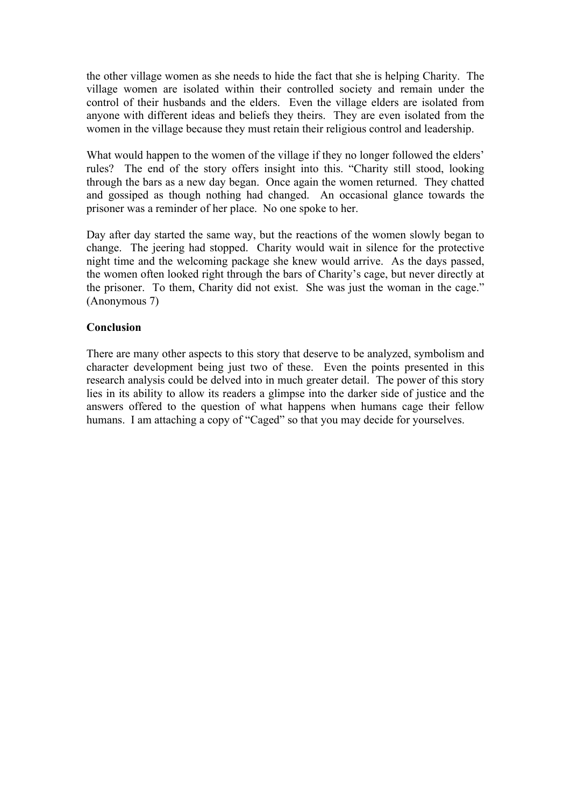the other village women as she needs to hide the fact that she is helping Charity. The village women are isolated within their controlled society and remain under the control of their husbands and the elders. Even the village elders are isolated from anyone with different ideas and beliefs they theirs. They are even isolated from the women in the village because they must retain their religious control and leadership.

What would happen to the women of the village if they no longer followed the elders' rules? The end of the story offers insight into this. "Charity still stood, looking through the bars as a new day began. Once again the women returned. They chatted and gossiped as though nothing had changed. An occasional glance towards the prisoner was a reminder of her place. No one spoke to her.

Day after day started the same way, but the reactions of the women slowly began to change. The jeering had stopped. Charity would wait in silence for the protective night time and the welcoming package she knew would arrive. As the days passed, the women often looked right through the bars of Charity's cage, but never directly at the prisoner. To them, Charity did not exist. She was just the woman in the cage." (Anonymous 7)

# **Conclusion**

There are many other aspects to this story that deserve to be analyzed, symbolism and character development being just two of these. Even the points presented in this research analysis could be delved into in much greater detail. The power of this story lies in its ability to allow its readers a glimpse into the darker side of justice and the answers offered to the question of what happens when humans cage their fellow humans. I am attaching a copy of "Caged" so that you may decide for yourselves.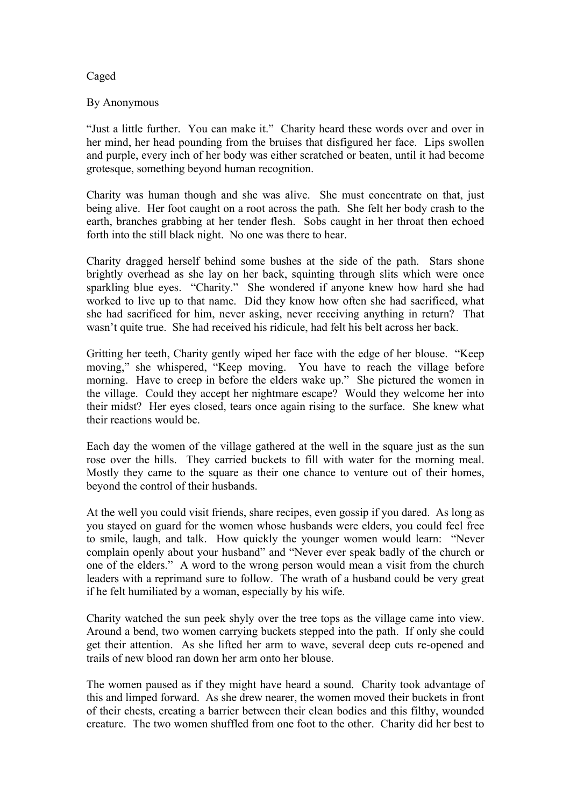# Caged

# By Anonymous

"Just a little further. You can make it." Charity heard these words over and over in her mind, her head pounding from the bruises that disfigured her face. Lips swollen and purple, every inch of her body was either scratched or beaten, until it had become grotesque, something beyond human recognition.

Charity was human though and she was alive. She must concentrate on that, just being alive. Her foot caught on a root across the path. She felt her body crash to the earth, branches grabbing at her tender flesh. Sobs caught in her throat then echoed forth into the still black night. No one was there to hear.

Charity dragged herself behind some bushes at the side of the path. Stars shone brightly overhead as she lay on her back, squinting through slits which were once sparkling blue eyes. "Charity." She wondered if anyone knew how hard she had worked to live up to that name. Did they know how often she had sacrificed, what she had sacrificed for him, never asking, never receiving anything in return? That wasn't quite true. She had received his ridicule, had felt his belt across her back.

Gritting her teeth, Charity gently wiped her face with the edge of her blouse. "Keep moving," she whispered, "Keep moving. You have to reach the village before morning. Have to creep in before the elders wake up." She pictured the women in the village. Could they accept her nightmare escape? Would they welcome her into their midst? Her eyes closed, tears once again rising to the surface. She knew what their reactions would be.

Each day the women of the village gathered at the well in the square just as the sun rose over the hills. They carried buckets to fill with water for the morning meal. Mostly they came to the square as their one chance to venture out of their homes, beyond the control of their husbands.

At the well you could visit friends, share recipes, even gossip if you dared. As long as you stayed on guard for the women whose husbands were elders, you could feel free to smile, laugh, and talk. How quickly the younger women would learn: "Never complain openly about your husband" and "Never ever speak badly of the church or one of the elders." A word to the wrong person would mean a visit from the church leaders with a reprimand sure to follow. The wrath of a husband could be very great if he felt humiliated by a woman, especially by his wife.

Charity watched the sun peek shyly over the tree tops as the village came into view. Around a bend, two women carrying buckets stepped into the path. If only she could get their attention. As she lifted her arm to wave, several deep cuts re-opened and trails of new blood ran down her arm onto her blouse.

The women paused as if they might have heard a sound. Charity took advantage of this and limped forward. As she drew nearer, the women moved their buckets in front of their chests, creating a barrier between their clean bodies and this filthy, wounded creature. The two women shuffled from one foot to the other. Charity did her best to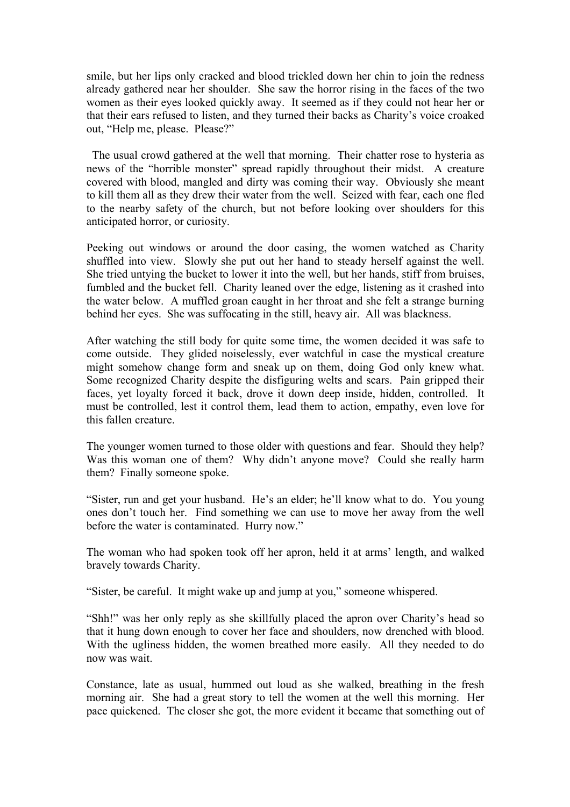smile, but her lips only cracked and blood trickled down her chin to join the redness already gathered near her shoulder. She saw the horror rising in the faces of the two women as their eyes looked quickly away. It seemed as if they could not hear her or that their ears refused to listen, and they turned their backs as Charity's voice croaked out, "Help me, please. Please?"

 The usual crowd gathered at the well that morning. Their chatter rose to hysteria as news of the "horrible monster" spread rapidly throughout their midst. A creature covered with blood, mangled and dirty was coming their way. Obviously she meant to kill them all as they drew their water from the well. Seized with fear, each one fled to the nearby safety of the church, but not before looking over shoulders for this anticipated horror, or curiosity.

Peeking out windows or around the door casing, the women watched as Charity shuffled into view. Slowly she put out her hand to steady herself against the well. She tried untying the bucket to lower it into the well, but her hands, stiff from bruises, fumbled and the bucket fell. Charity leaned over the edge, listening as it crashed into the water below. A muffled groan caught in her throat and she felt a strange burning behind her eyes. She was suffocating in the still, heavy air. All was blackness.

After watching the still body for quite some time, the women decided it was safe to come outside. They glided noiselessly, ever watchful in case the mystical creature might somehow change form and sneak up on them, doing God only knew what. Some recognized Charity despite the disfiguring welts and scars. Pain gripped their faces, yet loyalty forced it back, drove it down deep inside, hidden, controlled. It must be controlled, lest it control them, lead them to action, empathy, even love for this fallen creature.

The younger women turned to those older with questions and fear. Should they help? Was this woman one of them? Why didn't anyone move? Could she really harm them? Finally someone spoke.

"Sister, run and get your husband. He's an elder; he'll know what to do. You young ones don't touch her. Find something we can use to move her away from the well before the water is contaminated. Hurry now."

The woman who had spoken took off her apron, held it at arms' length, and walked bravely towards Charity.

"Sister, be careful. It might wake up and jump at you," someone whispered.

"Shh!" was her only reply as she skillfully placed the apron over Charity's head so that it hung down enough to cover her face and shoulders, now drenched with blood. With the ugliness hidden, the women breathed more easily. All they needed to do now was wait.

Constance, late as usual, hummed out loud as she walked, breathing in the fresh morning air. She had a great story to tell the women at the well this morning. Her pace quickened. The closer she got, the more evident it became that something out of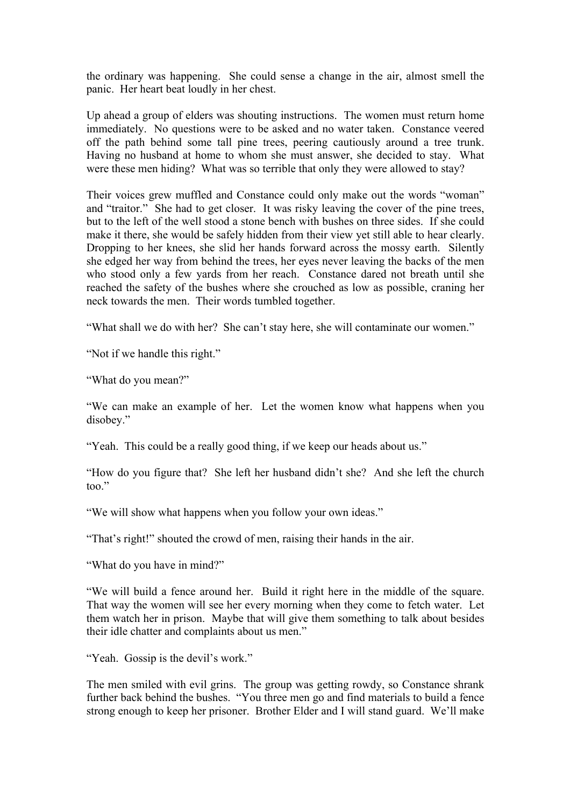the ordinary was happening. She could sense a change in the air, almost smell the panic. Her heart beat loudly in her chest.

Up ahead a group of elders was shouting instructions. The women must return home immediately. No questions were to be asked and no water taken. Constance veered off the path behind some tall pine trees, peering cautiously around a tree trunk. Having no husband at home to whom she must answer, she decided to stay. What were these men hiding? What was so terrible that only they were allowed to stay?

Their voices grew muffled and Constance could only make out the words "woman" and "traitor." She had to get closer. It was risky leaving the cover of the pine trees, but to the left of the well stood a stone bench with bushes on three sides. If she could make it there, she would be safely hidden from their view yet still able to hear clearly. Dropping to her knees, she slid her hands forward across the mossy earth. Silently she edged her way from behind the trees, her eyes never leaving the backs of the men who stood only a few yards from her reach. Constance dared not breath until she reached the safety of the bushes where she crouched as low as possible, craning her neck towards the men. Their words tumbled together.

"What shall we do with her? She can't stay here, she will contaminate our women."

"Not if we handle this right."

"What do you mean?"

"We can make an example of her. Let the women know what happens when you disobey."

"Yeah. This could be a really good thing, if we keep our heads about us."

"How do you figure that? She left her husband didn't she? And she left the church too."

"We will show what happens when you follow your own ideas."

"That's right!" shouted the crowd of men, raising their hands in the air.

"What do you have in mind?"

"We will build a fence around her. Build it right here in the middle of the square. That way the women will see her every morning when they come to fetch water. Let them watch her in prison. Maybe that will give them something to talk about besides their idle chatter and complaints about us men."

"Yeah. Gossip is the devil's work."

The men smiled with evil grins. The group was getting rowdy, so Constance shrank further back behind the bushes. "You three men go and find materials to build a fence strong enough to keep her prisoner. Brother Elder and I will stand guard. We'll make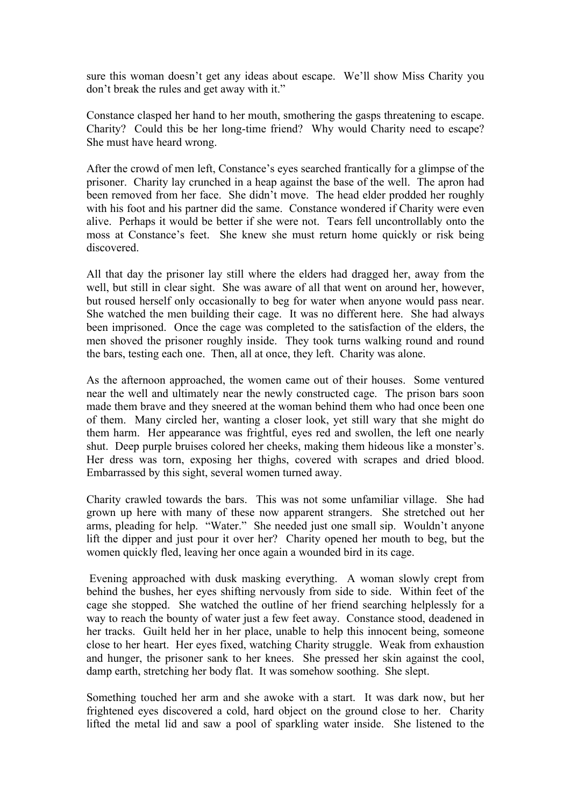sure this woman doesn't get any ideas about escape. We'll show Miss Charity you don't break the rules and get away with it."

Constance clasped her hand to her mouth, smothering the gasps threatening to escape. Charity? Could this be her long-time friend? Why would Charity need to escape? She must have heard wrong.

After the crowd of men left, Constance's eyes searched frantically for a glimpse of the prisoner. Charity lay crunched in a heap against the base of the well. The apron had been removed from her face. She didn't move. The head elder prodded her roughly with his foot and his partner did the same. Constance wondered if Charity were even alive. Perhaps it would be better if she were not. Tears fell uncontrollably onto the moss at Constance's feet. She knew she must return home quickly or risk being discovered.

All that day the prisoner lay still where the elders had dragged her, away from the well, but still in clear sight. She was aware of all that went on around her, however, but roused herself only occasionally to beg for water when anyone would pass near. She watched the men building their cage. It was no different here. She had always been imprisoned. Once the cage was completed to the satisfaction of the elders, the men shoved the prisoner roughly inside. They took turns walking round and round the bars, testing each one. Then, all at once, they left. Charity was alone.

As the afternoon approached, the women came out of their houses. Some ventured near the well and ultimately near the newly constructed cage. The prison bars soon made them brave and they sneered at the woman behind them who had once been one of them. Many circled her, wanting a closer look, yet still wary that she might do them harm. Her appearance was frightful, eyes red and swollen, the left one nearly shut. Deep purple bruises colored her cheeks, making them hideous like a monster's. Her dress was torn, exposing her thighs, covered with scrapes and dried blood. Embarrassed by this sight, several women turned away.

Charity crawled towards the bars. This was not some unfamiliar village. She had grown up here with many of these now apparent strangers. She stretched out her arms, pleading for help. "Water." She needed just one small sip. Wouldn't anyone lift the dipper and just pour it over her? Charity opened her mouth to beg, but the women quickly fled, leaving her once again a wounded bird in its cage.

Evening approached with dusk masking everything. A woman slowly crept from behind the bushes, her eyes shifting nervously from side to side. Within feet of the cage she stopped. She watched the outline of her friend searching helplessly for a way to reach the bounty of water just a few feet away. Constance stood, deadened in her tracks. Guilt held her in her place, unable to help this innocent being, someone close to her heart. Her eyes fixed, watching Charity struggle. Weak from exhaustion and hunger, the prisoner sank to her knees. She pressed her skin against the cool, damp earth, stretching her body flat. It was somehow soothing. She slept.

Something touched her arm and she awoke with a start. It was dark now, but her frightened eyes discovered a cold, hard object on the ground close to her. Charity lifted the metal lid and saw a pool of sparkling water inside. She listened to the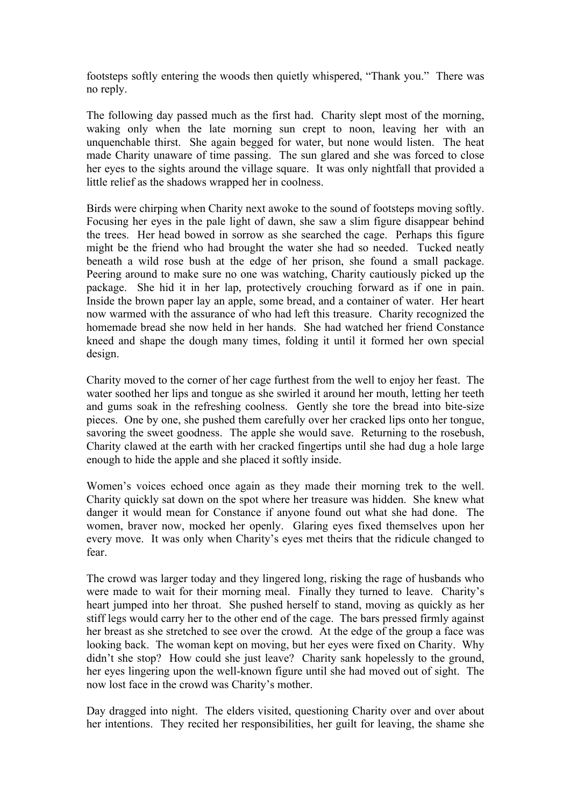footsteps softly entering the woods then quietly whispered, "Thank you." There was no reply.

The following day passed much as the first had. Charity slept most of the morning, waking only when the late morning sun crept to noon, leaving her with an unquenchable thirst. She again begged for water, but none would listen. The heat made Charity unaware of time passing. The sun glared and she was forced to close her eyes to the sights around the village square. It was only nightfall that provided a little relief as the shadows wrapped her in coolness.

Birds were chirping when Charity next awoke to the sound of footsteps moving softly. Focusing her eyes in the pale light of dawn, she saw a slim figure disappear behind the trees. Her head bowed in sorrow as she searched the cage. Perhaps this figure might be the friend who had brought the water she had so needed. Tucked neatly beneath a wild rose bush at the edge of her prison, she found a small package. Peering around to make sure no one was watching, Charity cautiously picked up the package. She hid it in her lap, protectively crouching forward as if one in pain. Inside the brown paper lay an apple, some bread, and a container of water. Her heart now warmed with the assurance of who had left this treasure. Charity recognized the homemade bread she now held in her hands. She had watched her friend Constance kneed and shape the dough many times, folding it until it formed her own special design.

Charity moved to the corner of her cage furthest from the well to enjoy her feast. The water soothed her lips and tongue as she swirled it around her mouth, letting her teeth and gums soak in the refreshing coolness. Gently she tore the bread into bite-size pieces. One by one, she pushed them carefully over her cracked lips onto her tongue, savoring the sweet goodness. The apple she would save. Returning to the rosebush, Charity clawed at the earth with her cracked fingertips until she had dug a hole large enough to hide the apple and she placed it softly inside.

Women's voices echoed once again as they made their morning trek to the well. Charity quickly sat down on the spot where her treasure was hidden. She knew what danger it would mean for Constance if anyone found out what she had done. The women, braver now, mocked her openly. Glaring eyes fixed themselves upon her every move. It was only when Charity's eyes met theirs that the ridicule changed to fear.

The crowd was larger today and they lingered long, risking the rage of husbands who were made to wait for their morning meal. Finally they turned to leave. Charity's heart jumped into her throat. She pushed herself to stand, moving as quickly as her stiff legs would carry her to the other end of the cage. The bars pressed firmly against her breast as she stretched to see over the crowd. At the edge of the group a face was looking back. The woman kept on moving, but her eyes were fixed on Charity. Why didn't she stop? How could she just leave? Charity sank hopelessly to the ground, her eyes lingering upon the well-known figure until she had moved out of sight. The now lost face in the crowd was Charity's mother.

Day dragged into night. The elders visited, questioning Charity over and over about her intentions. They recited her responsibilities, her guilt for leaving, the shame she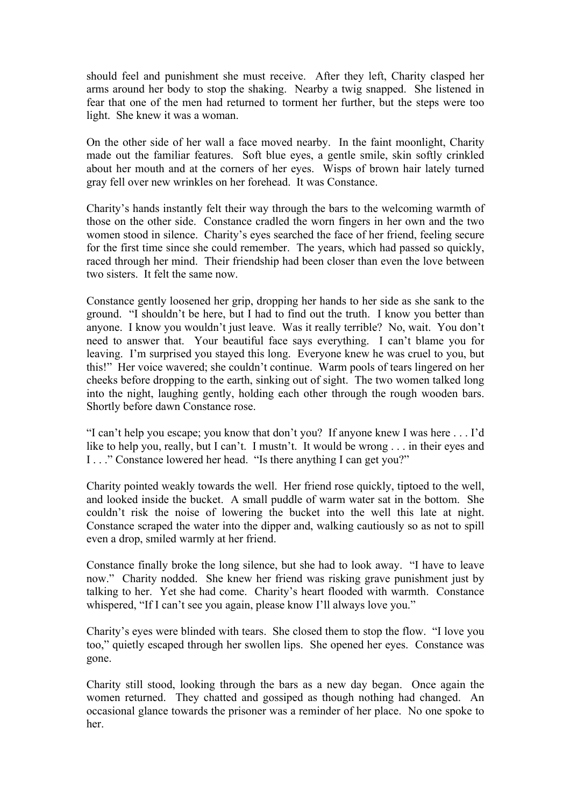should feel and punishment she must receive. After they left, Charity clasped her arms around her body to stop the shaking. Nearby a twig snapped. She listened in fear that one of the men had returned to torment her further, but the steps were too light. She knew it was a woman.

On the other side of her wall a face moved nearby. In the faint moonlight, Charity made out the familiar features. Soft blue eyes, a gentle smile, skin softly crinkled about her mouth and at the corners of her eyes. Wisps of brown hair lately turned gray fell over new wrinkles on her forehead. It was Constance.

Charity's hands instantly felt their way through the bars to the welcoming warmth of those on the other side. Constance cradled the worn fingers in her own and the two women stood in silence. Charity's eyes searched the face of her friend, feeling secure for the first time since she could remember. The years, which had passed so quickly, raced through her mind. Their friendship had been closer than even the love between two sisters. It felt the same now.

Constance gently loosened her grip, dropping her hands to her side as she sank to the ground. "I shouldn't be here, but I had to find out the truth. I know you better than anyone. I know you wouldn't just leave. Was it really terrible? No, wait. You don't need to answer that. Your beautiful face says everything. I can't blame you for leaving. I'm surprised you stayed this long. Everyone knew he was cruel to you, but this!" Her voice wavered; she couldn't continue. Warm pools of tears lingered on her cheeks before dropping to the earth, sinking out of sight. The two women talked long into the night, laughing gently, holding each other through the rough wooden bars. Shortly before dawn Constance rose.

"I can't help you escape; you know that don't you? If anyone knew I was here . . . I'd like to help you, really, but I can't. I mustn't. It would be wrong . . . in their eyes and I . . ." Constance lowered her head. "Is there anything I can get you?"

Charity pointed weakly towards the well. Her friend rose quickly, tiptoed to the well, and looked inside the bucket. A small puddle of warm water sat in the bottom. She couldn't risk the noise of lowering the bucket into the well this late at night. Constance scraped the water into the dipper and, walking cautiously so as not to spill even a drop, smiled warmly at her friend.

Constance finally broke the long silence, but she had to look away. "I have to leave now." Charity nodded. She knew her friend was risking grave punishment just by talking to her. Yet she had come. Charity's heart flooded with warmth. Constance whispered, "If I can't see you again, please know I'll always love you."

Charity's eyes were blinded with tears. She closed them to stop the flow. "I love you too," quietly escaped through her swollen lips. She opened her eyes. Constance was gone.

Charity still stood, looking through the bars as a new day began. Once again the women returned. They chatted and gossiped as though nothing had changed. An occasional glance towards the prisoner was a reminder of her place. No one spoke to her.